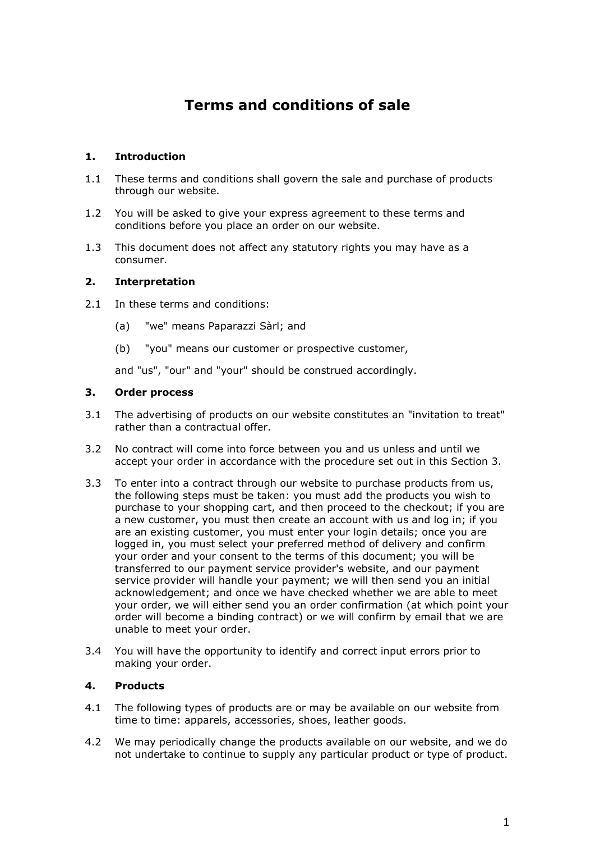# **Terms and conditions of sale**

# **1. Introduction**

- 1.1 These terms and conditions shall govern the sale and purchase of products through our website.
- 1.2 You will be asked to give your express agreement to these terms and conditions before you place an order on our website.
- 1.3 This document does not affect any statutory rights you may have as a consumer.

# **2. Interpretation**

- 2.1 In these terms and conditions:
	- (a) "we" means Paparazzi Sàrl; and
	- (b) "you" means our customer or prospective customer,

and "us", "our" and "your" should be construed accordingly.

### **3. Order process**

- 3.1 The advertising of products on our website constitutes an "invitation to treat" rather than a contractual offer.
- 3.2 No contract will come into force between you and us unless and until we accept your order in accordance with the procedure set out in this Section 3.
- 3.3 To enter into a contract through our website to purchase products from us, the following steps must be taken: you must add the products you wish to purchase to your shopping cart, and then proceed to the checkout; if you are a new customer, you must then create an account with us and log in; if you are an existing customer, you must enter your login details; once you are logged in, you must select your preferred method of delivery and confirm your order and your consent to the terms of this document; you will be transferred to our payment service provider's website, and our payment service provider will handle your payment; we will then send you an initial acknowledgement; and once we have checked whether we are able to meet your order, we will either send you an order confirmation (at which point your order will become a binding contract) or we will confirm by email that we are unable to meet your order.
- 3.4 You will have the opportunity to identify and correct input errors prior to making your order.

# **4. Products**

- 4.1 The following types of products are or may be available on our website from time to time: apparels, accessories, shoes, leather goods.
- 4.2 We may periodically change the products available on our website, and we do not undertake to continue to supply any particular product or type of product.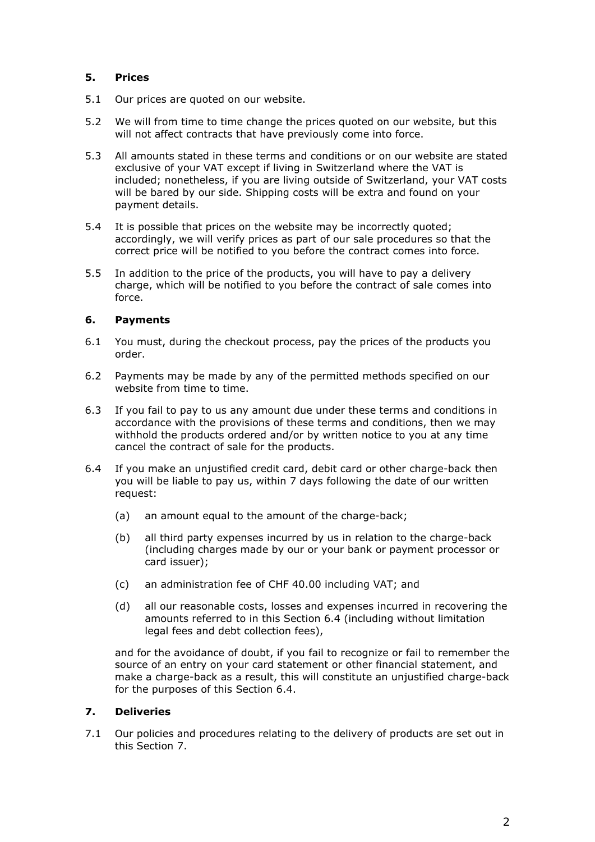# **5. Prices**

- 5.1 Our prices are quoted on our website.
- 5.2 We will from time to time change the prices quoted on our website, but this will not affect contracts that have previously come into force.
- 5.3 All amounts stated in these terms and conditions or on our website are stated exclusive of your VAT except if living in Switzerland where the VAT is included; nonetheless, if you are living outside of Switzerland, your VAT costs will be bared by our side. Shipping costs will be extra and found on your payment details.
- 5.4 It is possible that prices on the website may be incorrectly quoted; accordingly, we will verify prices as part of our sale procedures so that the correct price will be notified to you before the contract comes into force.
- 5.5 In addition to the price of the products, you will have to pay a delivery charge, which will be notified to you before the contract of sale comes into force.

# **6. Payments**

- 6.1 You must, during the checkout process, pay the prices of the products you order.
- 6.2 Payments may be made by any of the permitted methods specified on our website from time to time.
- 6.3 If you fail to pay to us any amount due under these terms and conditions in accordance with the provisions of these terms and conditions, then we may withhold the products ordered and/or by written notice to you at any time cancel the contract of sale for the products.
- 6.4 If you make an unjustified credit card, debit card or other charge-back then you will be liable to pay us, within 7 days following the date of our written request:
	- (a) an amount equal to the amount of the charge-back;
	- (b) all third party expenses incurred by us in relation to the charge-back (including charges made by our or your bank or payment processor or card issuer);
	- (c) an administration fee of CHF 40.00 including VAT; and
	- (d) all our reasonable costs, losses and expenses incurred in recovering the amounts referred to in this Section 6.4 (including without limitation legal fees and debt collection fees),

and for the avoidance of doubt, if you fail to recognize or fail to remember the source of an entry on your card statement or other financial statement, and make a charge-back as a result, this will constitute an unjustified charge-back for the purposes of this Section 6.4.

# **7. Deliveries**

7.1 Our policies and procedures relating to the delivery of products are set out in this Section 7.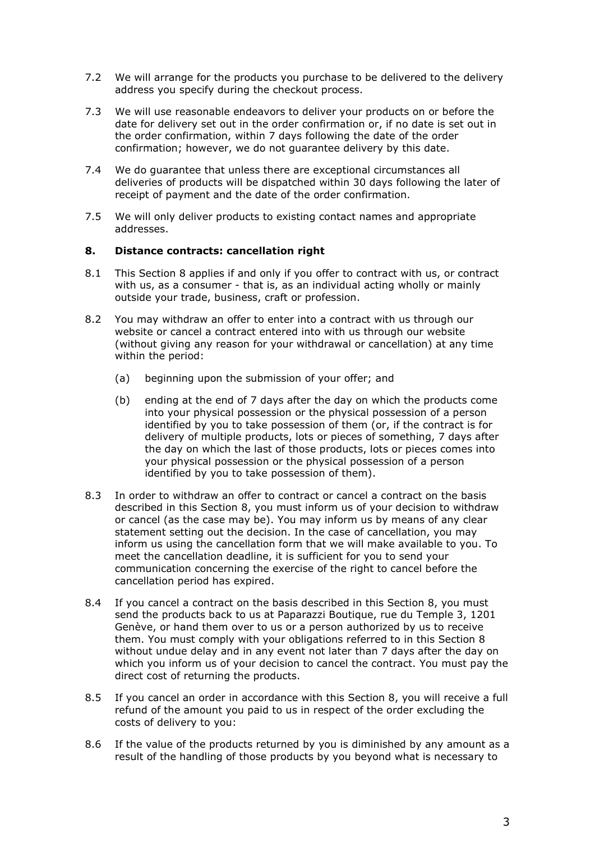- 7.2 We will arrange for the products you purchase to be delivered to the delivery address you specify during the checkout process.
- 7.3 We will use reasonable endeavors to deliver your products on or before the date for delivery set out in the order confirmation or, if no date is set out in the order confirmation, within 7 days following the date of the order confirmation; however, we do not guarantee delivery by this date.
- 7.4 We do guarantee that unless there are exceptional circumstances all deliveries of products will be dispatched within 30 days following the later of receipt of payment and the date of the order confirmation.
- 7.5 We will only deliver products to existing contact names and appropriate addresses.

### **8. Distance contracts: cancellation right**

- 8.1 This Section 8 applies if and only if you offer to contract with us, or contract with us, as a consumer - that is, as an individual acting wholly or mainly outside your trade, business, craft or profession.
- 8.2 You may withdraw an offer to enter into a contract with us through our website or cancel a contract entered into with us through our website (without giving any reason for your withdrawal or cancellation) at any time within the period:
	- (a) beginning upon the submission of your offer; and
	- (b) ending at the end of 7 days after the day on which the products come into your physical possession or the physical possession of a person identified by you to take possession of them (or, if the contract is for delivery of multiple products, lots or pieces of something, 7 days after the day on which the last of those products, lots or pieces comes into your physical possession or the physical possession of a person identified by you to take possession of them).
- 8.3 In order to withdraw an offer to contract or cancel a contract on the basis described in this Section 8, you must inform us of your decision to withdraw or cancel (as the case may be). You may inform us by means of any clear statement setting out the decision. In the case of cancellation, you may inform us using the cancellation form that we will make available to you. To meet the cancellation deadline, it is sufficient for you to send your communication concerning the exercise of the right to cancel before the cancellation period has expired.
- 8.4 If you cancel a contract on the basis described in this Section 8, you must send the products back to us at Paparazzi Boutique, rue du Temple 3, 1201 Genève, or hand them over to us or a person authorized by us to receive them. You must comply with your obligations referred to in this Section 8 without undue delay and in any event not later than 7 days after the day on which you inform us of your decision to cancel the contract. You must pay the direct cost of returning the products.
- 8.5 If you cancel an order in accordance with this Section 8, you will receive a full refund of the amount you paid to us in respect of the order excluding the costs of delivery to you:
- 8.6 If the value of the products returned by you is diminished by any amount as a result of the handling of those products by you beyond what is necessary to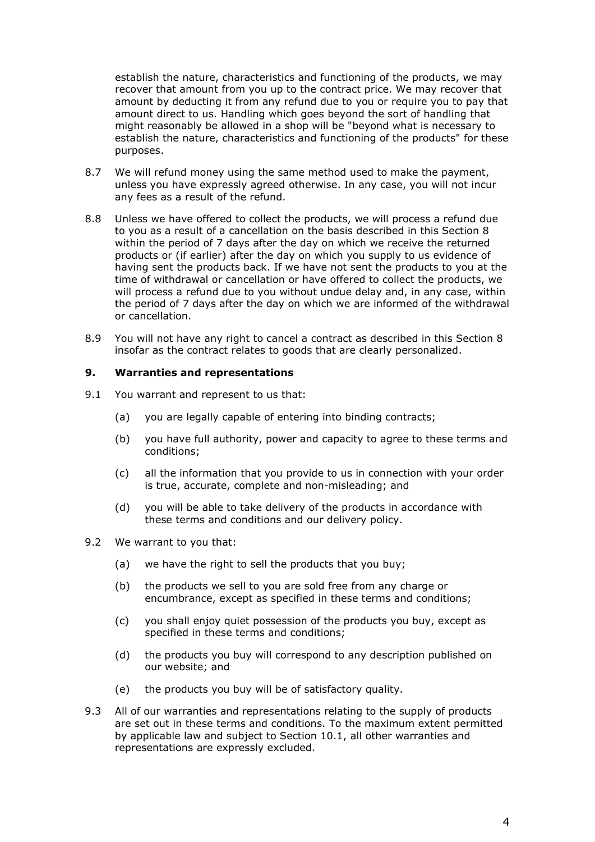establish the nature, characteristics and functioning of the products, we may recover that amount from you up to the contract price. We may recover that amount by deducting it from any refund due to you or require you to pay that amount direct to us. Handling which goes beyond the sort of handling that might reasonably be allowed in a shop will be "beyond what is necessary to establish the nature, characteristics and functioning of the products" for these purposes.

- 8.7 We will refund money using the same method used to make the payment, unless you have expressly agreed otherwise. In any case, you will not incur any fees as a result of the refund.
- 8.8 Unless we have offered to collect the products, we will process a refund due to you as a result of a cancellation on the basis described in this Section 8 within the period of 7 days after the day on which we receive the returned products or (if earlier) after the day on which you supply to us evidence of having sent the products back. If we have not sent the products to you at the time of withdrawal or cancellation or have offered to collect the products, we will process a refund due to you without undue delay and, in any case, within the period of 7 days after the day on which we are informed of the withdrawal or cancellation.
- 8.9 You will not have any right to cancel a contract as described in this Section 8 insofar as the contract relates to goods that are clearly personalized.

### **9. Warranties and representations**

- 9.1 You warrant and represent to us that:
	- (a) you are legally capable of entering into binding contracts;
	- (b) you have full authority, power and capacity to agree to these terms and conditions;
	- (c) all the information that you provide to us in connection with your order is true, accurate, complete and non-misleading; and
	- (d) you will be able to take delivery of the products in accordance with these terms and conditions and our delivery policy.
- 9.2 We warrant to you that:
	- (a) we have the right to sell the products that you buy;
	- (b) the products we sell to you are sold free from any charge or encumbrance, except as specified in these terms and conditions;
	- (c) you shall enjoy quiet possession of the products you buy, except as specified in these terms and conditions;
	- (d) the products you buy will correspond to any description published on our website; and
	- (e) the products you buy will be of satisfactory quality.
- 9.3 All of our warranties and representations relating to the supply of products are set out in these terms and conditions. To the maximum extent permitted by applicable law and subject to Section 10.1, all other warranties and representations are expressly excluded.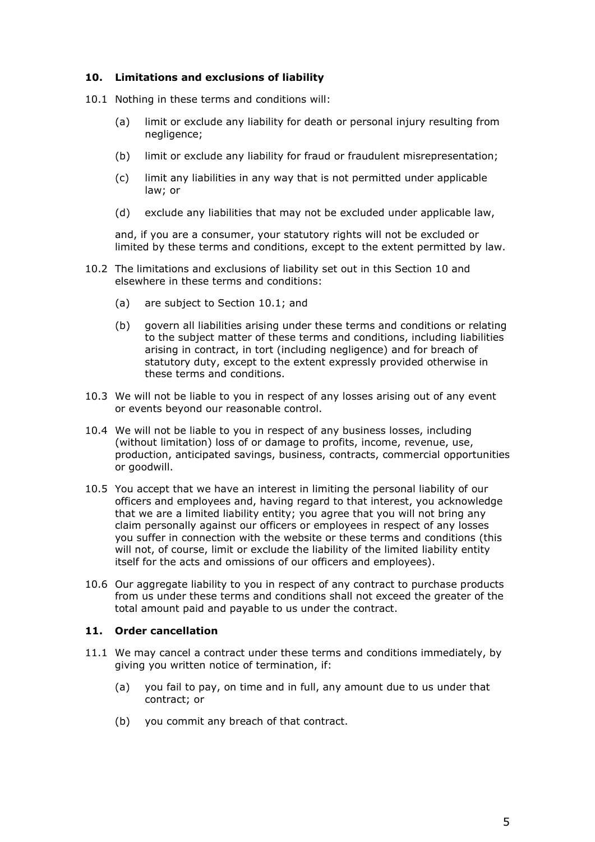### **10. Limitations and exclusions of liability**

- 10.1 Nothing in these terms and conditions will:
	- (a) limit or exclude any liability for death or personal injury resulting from negligence;
	- (b) limit or exclude any liability for fraud or fraudulent misrepresentation;
	- (c) limit any liabilities in any way that is not permitted under applicable law; or
	- (d) exclude any liabilities that may not be excluded under applicable law,

and, if you are a consumer, your statutory rights will not be excluded or limited by these terms and conditions, except to the extent permitted by law.

- 10.2 The limitations and exclusions of liability set out in this Section 10 and elsewhere in these terms and conditions:
	- (a) are subject to Section 10.1; and
	- (b) govern all liabilities arising under these terms and conditions or relating to the subject matter of these terms and conditions, including liabilities arising in contract, in tort (including negligence) and for breach of statutory duty, except to the extent expressly provided otherwise in these terms and conditions.
- 10.3 We will not be liable to you in respect of any losses arising out of any event or events beyond our reasonable control.
- 10.4 We will not be liable to you in respect of any business losses, including (without limitation) loss of or damage to profits, income, revenue, use, production, anticipated savings, business, contracts, commercial opportunities or goodwill.
- 10.5 You accept that we have an interest in limiting the personal liability of our officers and employees and, having regard to that interest, you acknowledge that we are a limited liability entity; you agree that you will not bring any claim personally against our officers or employees in respect of any losses you suffer in connection with the website or these terms and conditions (this will not, of course, limit or exclude the liability of the limited liability entity itself for the acts and omissions of our officers and employees).
- 10.6 Our aggregate liability to you in respect of any contract to purchase products from us under these terms and conditions shall not exceed the greater of the total amount paid and payable to us under the contract.

# **11. Order cancellation**

- 11.1 We may cancel a contract under these terms and conditions immediately, by giving you written notice of termination, if:
	- (a) you fail to pay, on time and in full, any amount due to us under that contract; or
	- (b) you commit any breach of that contract.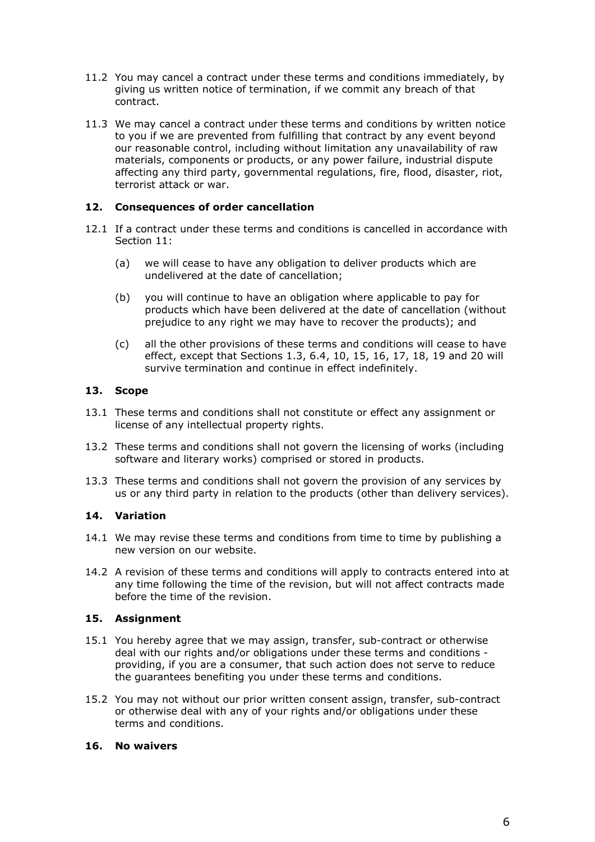- 11.2 You may cancel a contract under these terms and conditions immediately, by giving us written notice of termination, if we commit any breach of that contract.
- 11.3 We may cancel a contract under these terms and conditions by written notice to you if we are prevented from fulfilling that contract by any event beyond our reasonable control, including without limitation any unavailability of raw materials, components or products, or any power failure, industrial dispute affecting any third party, governmental regulations, fire, flood, disaster, riot, terrorist attack or war.

# **12. Consequences of order cancellation**

- 12.1 If a contract under these terms and conditions is cancelled in accordance with Section 11:
	- (a) we will cease to have any obligation to deliver products which are undelivered at the date of cancellation;
	- (b) you will continue to have an obligation where applicable to pay for products which have been delivered at the date of cancellation (without prejudice to any right we may have to recover the products); and
	- (c) all the other provisions of these terms and conditions will cease to have effect, except that Sections 1.3, 6.4, 10, 15, 16, 17, 18, 19 and 20 will survive termination and continue in effect indefinitely.

### **13. Scope**

- 13.1 These terms and conditions shall not constitute or effect any assignment or license of any intellectual property rights.
- 13.2 These terms and conditions shall not govern the licensing of works (including software and literary works) comprised or stored in products.
- 13.3 These terms and conditions shall not govern the provision of any services by us or any third party in relation to the products (other than delivery services).

#### **14. Variation**

- 14.1 We may revise these terms and conditions from time to time by publishing a new version on our website.
- 14.2 A revision of these terms and conditions will apply to contracts entered into at any time following the time of the revision, but will not affect contracts made before the time of the revision.

# **15. Assignment**

- 15.1 You hereby agree that we may assign, transfer, sub-contract or otherwise deal with our rights and/or obligations under these terms and conditions providing, if you are a consumer, that such action does not serve to reduce the guarantees benefiting you under these terms and conditions.
- 15.2 You may not without our prior written consent assign, transfer, sub-contract or otherwise deal with any of your rights and/or obligations under these terms and conditions.

#### **16. No waivers**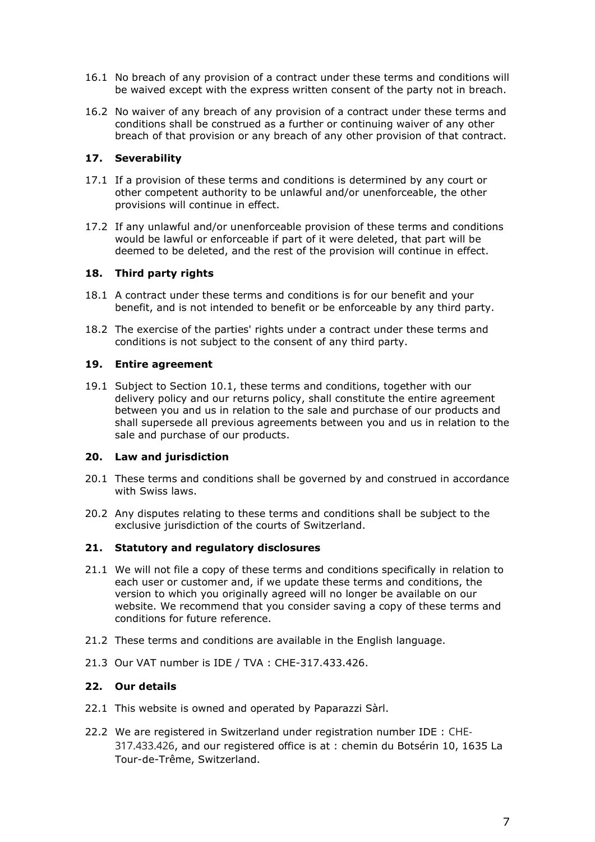- 16.1 No breach of any provision of a contract under these terms and conditions will be waived except with the express written consent of the party not in breach.
- 16.2 No waiver of any breach of any provision of a contract under these terms and conditions shall be construed as a further or continuing waiver of any other breach of that provision or any breach of any other provision of that contract.

## **17. Severability**

- 17.1 If a provision of these terms and conditions is determined by any court or other competent authority to be unlawful and/or unenforceable, the other provisions will continue in effect.
- 17.2 If any unlawful and/or unenforceable provision of these terms and conditions would be lawful or enforceable if part of it were deleted, that part will be deemed to be deleted, and the rest of the provision will continue in effect.

### **18. Third party rights**

- 18.1 A contract under these terms and conditions is for our benefit and your benefit, and is not intended to benefit or be enforceable by any third party.
- 18.2 The exercise of the parties' rights under a contract under these terms and conditions is not subject to the consent of any third party.

#### **19. Entire agreement**

19.1 Subject to Section 10.1, these terms and conditions, together with our delivery policy and our returns policy, shall constitute the entire agreement between you and us in relation to the sale and purchase of our products and shall supersede all previous agreements between you and us in relation to the sale and purchase of our products.

#### **20. Law and jurisdiction**

- 20.1 These terms and conditions shall be governed by and construed in accordance with Swiss laws.
- 20.2 Any disputes relating to these terms and conditions shall be subject to the exclusive jurisdiction of the courts of Switzerland.

#### **21. Statutory and regulatory disclosures**

- 21.1 We will not file a copy of these terms and conditions specifically in relation to each user or customer and, if we update these terms and conditions, the version to which you originally agreed will no longer be available on our website. We recommend that you consider saving a copy of these terms and conditions for future reference.
- 21.2 These terms and conditions are available in the English language.
- 21.3 Our VAT number is IDE / TVA : CHE-317.433.426.

# **22. Our details**

- 22.1 This website is owned and operated by Paparazzi Sàrl.
- 22.2 We are registered in Switzerland under registration number IDE : CHE-317.433.426, and our registered office is at : chemin du Botsérin 10, 1635 La Tour-de-Trême, Switzerland.